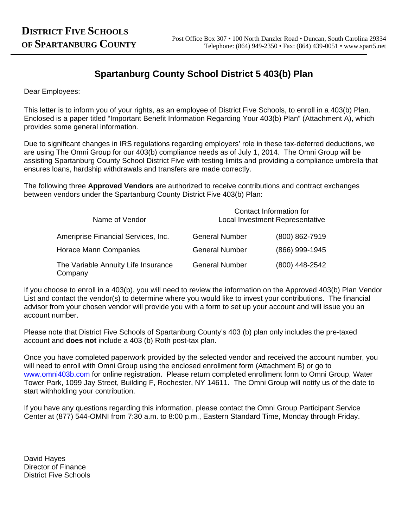# **Spartanburg County School District 5 403(b) Plan**

Dear Employees:

This letter is to inform you of your rights, as an employee of District Five Schools, to enroll in a 403(b) Plan. Enclosed is a paper titled "Important Benefit Information Regarding Your 403(b) Plan" (Attachment A), which provides some general information.

Due to significant changes in IRS regulations regarding employers' role in these tax-deferred deductions, we are using The Omni Group for our 403(b) compliance needs as of July 1, 2014. The Omni Group will be assisting Spartanburg County School District Five with testing limits and providing a compliance umbrella that ensures loans, hardship withdrawals and transfers are made correctly.

The following three **Approved Vendors** are authorized to receive contributions and contract exchanges between vendors under the Spartanburg County District Five 403(b) Plan:

| Name of Vendor                                 |                       | Contact Information for<br>Local Investment Representative |
|------------------------------------------------|-----------------------|------------------------------------------------------------|
| Ameriprise Financial Services, Inc.            | <b>General Number</b> | (800) 862-7919                                             |
| Horace Mann Companies                          | <b>General Number</b> | (866) 999-1945                                             |
| The Variable Annuity Life Insurance<br>Company | <b>General Number</b> | (800) 448-2542                                             |

If you choose to enroll in a 403(b), you will need to review the information on the Approved 403(b) Plan Vendor List and contact the vendor(s) to determine where you would like to invest your contributions. The financial advisor from your chosen vendor will provide you with a form to set up your account and will issue you an account number.

Please note that District Five Schools of Spartanburg County's 403 (b) plan only includes the pre-taxed account and **does not** include a 403 (b) Roth post-tax plan.

Once you have completed paperwork provided by the selected vendor and received the account number, you will need to enroll with Omni Group using the enclosed enrollment form (Attachment B) or go to www.omni403b.com for online registration. Please return completed enrollment form to Omni Group, Water Tower Park, 1099 Jay Street, Building F, Rochester, NY 14611. The Omni Group will notify us of the date to start withholding your contribution.

If you have any questions regarding this information, please contact the Omni Group Participant Service Center at (877) 544-OMNI from 7:30 a.m. to 8:00 p.m., Eastern Standard Time, Monday through Friday.

David Hayes Director of Finance District Five Schools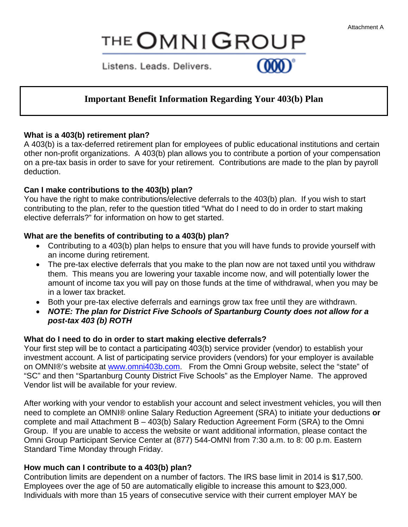# **THE OMNIGROUP**

Listens, Leads, Delivers,

## **Important Benefit Information Regarding Your 403(b) Plan**

## **What is a 403(b) retirement plan?**

A 403(b) is a tax-deferred retirement plan for employees of public educational institutions and certain other non-profit organizations. A 403(b) plan allows you to contribute a portion of your compensation on a pre-tax basis in order to save for your retirement. Contributions are made to the plan by payroll deduction.

## **Can I make contributions to the 403(b) plan?**

You have the right to make contributions/elective deferrals to the 403(b) plan. If you wish to start contributing to the plan, refer to the question titled "What do I need to do in order to start making elective deferrals?" for information on how to get started.

## **What are the benefits of contributing to a 403(b) plan?**

- Contributing to a 403(b) plan helps to ensure that you will have funds to provide yourself with an income during retirement.
- The pre-tax elective deferrals that you make to the plan now are not taxed until you withdraw them. This means you are lowering your taxable income now, and will potentially lower the amount of income tax you will pay on those funds at the time of withdrawal, when you may be in a lower tax bracket.
- Both your pre-tax elective deferrals and earnings grow tax free until they are withdrawn.
- NOTE: The plan for District Five Schools of Spartanburg County does not allow for a *post-tax 403 (b) ROTH*

## **What do I need to do in order to start making elective deferrals?**

Your first step will be to contact a participating 403(b) service provider (vendor) to establish your investment account. A list of participating service providers (vendors) for your employer is available on OMNI®'s website at www.omni403b.com. From the Omni Group website, select the "state" of "SC" and then "Spartanburg County District Five Schools" as the Employer Name. The approved Vendor list will be available for your review.

After working with your vendor to establish your account and select investment vehicles, you will then need to complete an OMNI® online Salary Reduction Agreement (SRA) to initiate your deductions **or** complete and mail Attachment B – 403(b) Salary Reduction Agreement Form (SRA) to the Omni Group. If you are unable to access the website or want additional information, please contact the Omni Group Participant Service Center at (877) 544-OMNI from 7:30 a.m. to 8: 00 p.m. Eastern Standard Time Monday through Friday.

## **How much can I contribute to a 403(b) plan?**

Contribution limits are dependent on a number of factors. The IRS base limit in 2014 is \$17,500. Employees over the age of 50 are automatically eligible to increase this amount to \$23,000. Individuals with more than 15 years of consecutive service with their current employer MAY be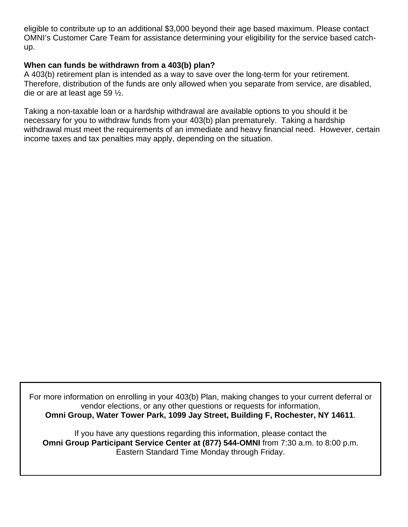eligible to contribute up to an additional \$3,000 beyond their age based maximum. Please contact OMNI's Customer Care Team for assistance determining your eligibility for the service based catchup.

## **When can funds be withdrawn from a 403(b) plan?**

A 403(b) retirement plan is intended as a way to save over the long-term for your retirement. Therefore, distribution of the funds are only allowed when you separate from service, are disabled, die or are at least age 59 ½.

Taking a non-taxable loan or a hardship withdrawal are available options to you should it be necessary for you to withdraw funds from your 403(b) plan prematurely. Taking a hardship withdrawal must meet the requirements of an immediate and heavy financial need. However, certain income taxes and tax penalties may apply, depending on the situation.

For more information on enrolling in your 403(b) Plan, making changes to your current deferral or vendor elections, or any other questions or requests for information, **Omni Group, Water Tower Park, 1099 Jay Street, Building F, Rochester, NY 14611**.

If you have any questions regarding this information, please contact the **Omni Group Participant Service Center at (877) 544-OMNI** from 7:30 a.m. to 8:00 p.m. Eastern Standard Time Monday through Friday.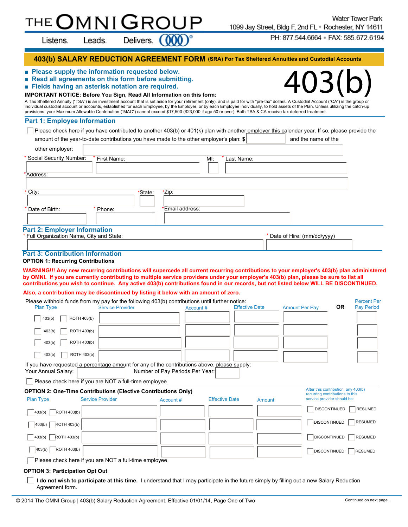## MNI THE

Listens.

Delivers.

 **403(b) SALARY REDUCTION AGREEMENT FORM (SRA) For Tax Sheltered Annuities and Custodial Accounts**

#### ■ **Please supply the information requested below.**

Leads.

- **Read all agreements on this form before submitting.**
- **Fields having an asterisk notation are required.**

#### **IMPORTANT NOTICE: Before You Sign, Read All Information on this form:**

403(b) A Tax Sheltered Annuity ("TSA") is an investment account that is set aside for your retirement (only), and is paid for with "pre-tax" dollars. A Custodial Account ("CA") is the group or individual custodial account or accounts, established for each Employee, by the Employer, or by each Employee individually, to hold assets of the Plan. Unless utilizing the catch-up provisions, your Maximum Allowable Contribution ("MAC") cannot exceed \$17,500 (\$23,000 if age 50 or over). Both TSA & CA receive tax deferred treatment.

#### **Part 1: Employee Information**

Please check here if you have contributed to another 403(b) or 401(k) plan with another employer this calendar year. If so, please provide the amount of the year-to-date contributions you have made to the other employer's plan: \$ and the name of the

| other employer:                                                                  |             |         |                          |                   |  |                              |  |
|----------------------------------------------------------------------------------|-------------|---------|--------------------------|-------------------|--|------------------------------|--|
| * Social Security Number:                                                        | First Name: |         |                          | MI:<br>Last Name: |  |                              |  |
| *Address:                                                                        |             |         |                          |                   |  |                              |  |
| $*$ City:<br>* Date of Birth:                                                    | Phone:      | *State: | *Zip:<br>*Email address: |                   |  |                              |  |
| <b>Part 2: Employer Information</b><br>* Full Organization Name, City and State: |             |         |                          |                   |  | * Date of Hire: (mm/dd/yyyy) |  |
| Dout 2. Contribution Information                                                 |             |         |                          |                   |  |                              |  |

#### **Part 3: Contribution Information**

#### **OPTION 1: Recurring Contributions**

**WARNING!!! Any new recurring contributions will supercede all current recurring contributions to your employer's 403(b) plan administered by OMNI. If you are currently contributing to multiple service providers under your employer's 403(b) plan, please be sure to list all contributions you wish to continue. Any active 403(b) contributions found in our records, but not listed below WILL BE DISCONTINUED.**

#### **Also, a contribution may be discontinued by listing it below with an amount of zero.**

| Please withhold funds from my pay for the following 403(b) contributions until further notice:                      |                         |                                 |                       |                       |                                                                        |                     | <b>Percent Per</b> |
|---------------------------------------------------------------------------------------------------------------------|-------------------------|---------------------------------|-----------------------|-----------------------|------------------------------------------------------------------------|---------------------|--------------------|
| <b>Plan Type</b>                                                                                                    | <b>Service Provider</b> | Account#                        |                       | <b>Effective Date</b> | <b>Amount Per Pay</b>                                                  | 0R                  | <b>Pay Period</b>  |
| ROTH 403(b)<br>403(b)                                                                                               |                         |                                 |                       |                       |                                                                        |                     |                    |
| ROTH 403(b)<br>403(b)                                                                                               |                         |                                 |                       |                       |                                                                        |                     |                    |
| ROTH 403(b)<br>403(b)                                                                                               |                         |                                 |                       |                       |                                                                        |                     |                    |
| ROTH 403(b)<br>403(b)                                                                                               |                         |                                 |                       |                       |                                                                        |                     |                    |
| If you have requested a percentage amount for any of the contributions above, please supply:<br>Your Annual Salary: |                         | Number of Pay Periods Per Year: |                       |                       |                                                                        |                     |                    |
| Please check here if you are NOT a full-time employee                                                               |                         |                                 |                       |                       |                                                                        |                     |                    |
| <b>OPTION 2: One-Time Contributions (Elective Contributions Only)</b>                                               |                         |                                 |                       |                       | After this contribution, any 403(b)<br>recurring contributions to this |                     |                    |
| <b>Plan Type</b>                                                                                                    | <b>Service Provider</b> | Account#                        | <b>Effective Date</b> | Amount                | service provider should be:                                            |                     |                    |
| $\overline{R}$ ROTH 403(b)<br>$\vert$ 403(b) $\vert$                                                                |                         |                                 |                       |                       |                                                                        | <b>DISCONTINUED</b> | <b>RESUMED</b>     |
| $\sqrt{ }$ 403(b) $\sqrt{ }$ ROTH 403(b)                                                                            |                         |                                 |                       |                       |                                                                        | <b>DISCONTINUED</b> | RESUMED            |
| $\begin{array}{ c c c c } \hline \end{array}$ 403(b) ROTH 403(b)                                                    |                         |                                 |                       |                       |                                                                        | <b>DISCONTINUED</b> | <b>RESUMED</b>     |
| $\sqrt{\phantom{a}}$ 403(b) $\sqrt{\phantom{a}}$ ROTH 403(b)                                                        |                         |                                 |                       |                       |                                                                        | <b>DISCONTINUED</b> | RESUMED            |
| Please check here if you are NOT a full-time employee                                                               |                         |                                 |                       |                       |                                                                        |                     |                    |

#### **OPTION 3: Participation Opt Out**

**I do not wish to participate at this time.** I understand that I may participate in the future simply by filling out a new Salary Reduction Agreement form.